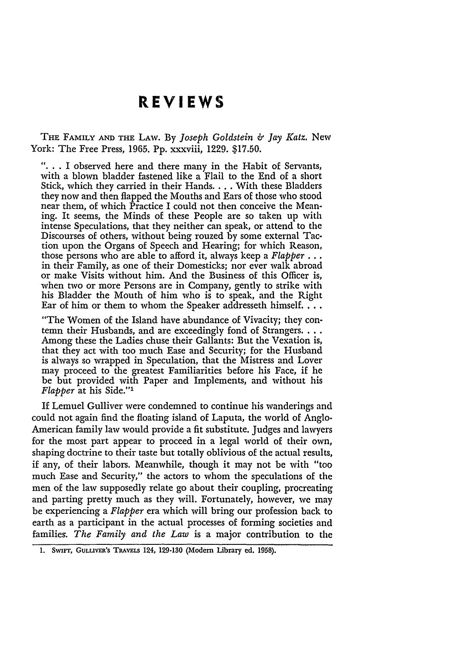## **REVIEWS**

THE FAMILY AND THE LAW. By *Joseph Goldstein & Jay Katz.* New York: The Free Press, 1965. Pp. xxxviii, 1229. \$17.50.

*"..* . I observed here and there many in the Habit of Servants, with a blown bladder fastened like a Flail to the End of a short Stick, which they carried in their Hands.... With these Bladders they now and then flapped the Mouths and Ears of those who stood near them, of which Practice I could not then conceive the Meaning. It seems, the Minds of these People are so taken up with intense Speculations, that they neither can speak, or attend to the Discourses of others, without being rouzed by some external Taction upon the Organs of Speech and Hearing; for which Reason, those persons who are able to afford it, always keep a *Flapper...* in their Family, as one of their Domesticks; nor ever walk abroad or make Visits without him. And the Business of this Officer is, when two or more Persons are in Company, gently to strike with his Bladder the Mouth of him who is to speak, and the Right Ear of him or them to whom the Speaker addresseth himself....

"The Women of the Island have abundance of Vivacity; they contemn their Husbands, and are exceedingly fond of Strangers.... Among these the Ladies chuse their Gallants: But the Vexation is, that they act with too much Ease and Security; for the Husband is always so wrapped in Speculation, that the Mistress and Lover may proceed to the greatest Familiarities before his Face, if he be but provided with Paper and Implements, and without his *Flapper* at his Side."'

If Lemuel Gulliver were condemned to continue his wanderings and could not again find the floating island of Laputa, the world of Anglo-American family law would provide a fit substitute. Judges and lawyers for the most part appear to proceed in a legal world of their own, shaping doctrine to their taste but totally oblivious of the actual results, if any, of their labors. Meanwhile, though it may not be with "too much Ease and Security," the actors to whom the speculations of the men of the law supposedly relate go about their coupling, procreating and parting pretty much as they will. Fortunately, however, we may be experiencing a *Flapper* era which will bring our profession back to earth as a participant in the actual processes of forming societies and families. *The Family and the Law* is a major contribution to the

**<sup>1.</sup> SwiFr, GULLIVER'S** TRAVELs 124, **129-130** (Modem Library **ed. 1958).**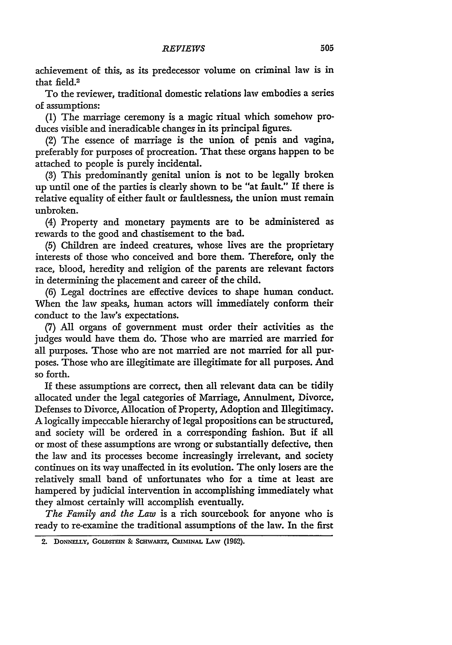achievement of this, as its predecessor volume on criminal law is in that field.<sup>2</sup>

To the reviewer, traditional domestic relations law embodies a series of assumptions:

(1) The marriage ceremony is a magic ritual which somehow produces visible and ineradicable changes in its principal figures.

(2) The essence of marriage is the union of penis and vagina, preferably for purposes of procreation. That these organs happen to be attached to people is purely incidental.

(3) This predominantly genital union is not to be legally broken up until one of the parties is clearly shown to be "at fault." If there is relative equality of either fault or faultlessness, the union must remain unbroken.

(4) Property and monetary payments are to be administered as rewards to the good and chastisement to the bad.

(5) Children are indeed creatures, whose lives are the proprietary interests of those who conceived and bore them. Therefore, only the race, blood, heredity and religion of the parents are relevant factors in determining the placement and career of the child.

(6) Legal doctrines are effective devices to shape human conduct. When the law speaks, human actors will immediately conform their conduct to the law's expectations.

(7) All organs of government must order their activities as the judges would have them do. Those who are married are married for all purposes. Those who are not married are not married for all purposes. Those who are illegitimate are illegitimate for all purposes. And so forth.

If these assumptions are correct, then all relevant data can be tidily allocated under the legal categories of Marriage, Annulment, Divorce, Defenses to Divorce, Allocation of Property, Adoption and Illegitimacy. A logically impeccable hierarchy of legal propositions can be structured, and society will be ordered in a corresponding fashion. But if all or most of these assumptions are wrong or substantially defective, then the law and its processes become increasingly irrelevant, and society continues on its way unaffected in its evolution. The only losers are the relatively small band of unfortunates who for a time at least are hampered by judicial intervention in accomplishing immediately what they almost certainly will accomplish eventually.

*The Family and the Law* is a rich sourcebook for anyone who is ready to re-examine the traditional assumptions of the law. In the first

<sup>2.</sup> DONNELLY, GOLDSTEIN & SCHWARTZ, CRIMINAL LAW (1962).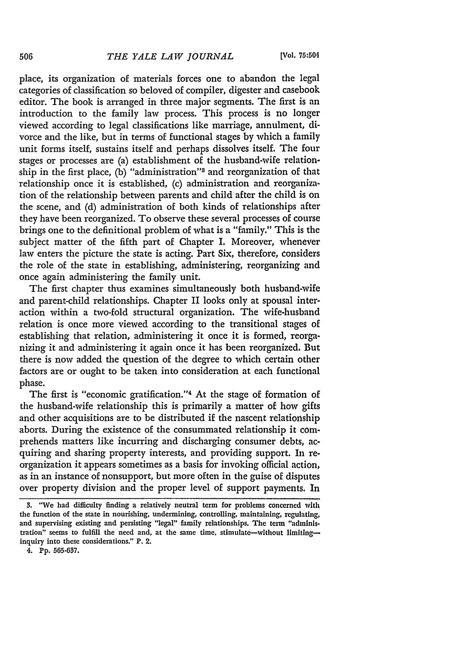place, its organization of materials forces one to abandon the legal categories of classification so beloved of compiler, digester and casebook editor. The book is arranged in three major segments. The first is an introduction to the family law process. This process is no longer viewed according to legal classifications like marriage, annulment, divorce and the like, but in terms of functional stages by which a family unit forms itself, sustains itself and perhaps dissolves itself. The four stages or processes are (a) establishment of the husband-wife relationship in the first place, (b) "administration"8 and reorganization of that relationship once it is established, (c) administration and reorganization of the relationship between parents and child after the child is on the scene, and (d) administration of both kinds of relationships after they have been reorganized. To observe these several processes of course brings one to the definitional problem of what is a "family." This is the subject matter of the fifth part of Chapter I. Moreover, whenever law enters the picture the state is acting. Part Six, therefore, considers the role of the state in establishing, administering, reorganizing and once again administering the family unit.

The first chapter thus examines simultaneously both husband-wife and parent-child relationships. Chapter II looks only at spousal interaction within a two-fold structural organization. The wife-husband relation is once more viewed according to the transitional stages of establishing that relation, administering it once it is formed, reorganizing it and administering it again once it has been reorganized, But there is now added the question of the degree to which certain other factors are or ought to be taken into consideration at each functional phase.

The first is "economic gratification."<sup>4</sup> At the stage of formation of the husband-wife relationship this is primarily a matter of how gifts and other acquisitions are to be distributed if the nascent relationship aborts. During the existence of the consummated relationship it comprehends matters like incurring and discharging consumer debts, acquiring and sharing property interests, and providing support. In reorganization it appears sometimes as a basis for invoking official action, as in an instance of nonsupport, but more often in the guise of disputes over property division and the proper level of support payments. In

506

<sup>3. &</sup>quot;We had difficulty finding a relatively neutral term for problems concerned with the function of the state in nourishing, undermining, controlling, maintaining, regulating, and supervising existing and persisting "legal" family relationships. The term "administration" seems to fulfill the need and, at the same time, stimulate-without limitinginquiry into these considerations." P. 2.

<sup>4.</sup> **Pp. 565-637.**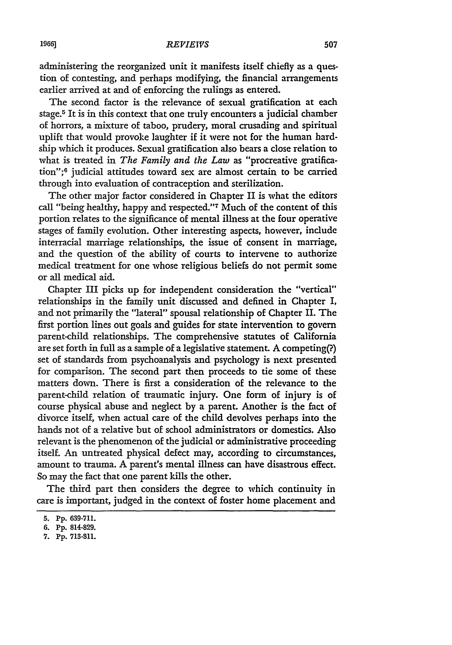administering the reorganized unit it manifests itself chiefly as a question of contesting, and perhaps modifying, the financial arrangements earlier arrived at and of enforcing the rulings as entered.

The second factor is the relevance of sexual gratification at each stage.5 It is in this context that one truly encounters a judicial chamber of horrors, a mixture of taboo, prudery, moral crusading and spiritual uplift that would provoke laughter if it were not for the human hardship which it produces. Sexual gratification also bears a close relation to what is treated in *The Family and the Law* as "procreative gratification";<sup>6</sup> judicial attitudes toward sex are almost certain to be carried through into evaluation of contraception and sterilization.

The other major factor considered in Chapter II is what the editors call "being healthy, happy and respected."7 Much of the content of this portion relates to the significance of mental illness at the four operative stages of family evolution. Other interesting aspects, however, include interracial marriage relationships, the issue of consent in marriage, and the question of the ability of courts to intervene to authorize medical treatment for one whose religious beliefs do not permit some or all medical aid.

Chapter III picks up for independent consideration the "vertical" relationships in the family unit discussed and defined in Chapter I, and not primarily the "lateral" spousal relationship of Chapter II. The first portion lines out goals and guides for state intervention to govern parent-child relationships. The comprehensive statutes of California are set forth in full as a sample of a legislative statement. A competing(?) set of standards from psychoanalysis and psychology is next presented for comparison. The second part then proceeds to tie some of these matters down. There is first a consideration of the relevance to the parent-child relation of traumatic injury. One form of injury is of course physical abuse and neglect by a parent. Another is the fact of divorce itself, when actual care of the child devolves perhaps into the hands not of a relative but of school administrators or domestics. Also relevant is the phenomenon of the judicial or administrative proceeding itself. An untreated physical defect may, according to circumstances, amount to trauma. A parent's mental illness can have disastrous effect. So may the fact that one parent kills the other.

The third part then considers the degree to which continuity in care is important, judged in the context of foster home placement and

**<sup>5.</sup> Pp. 639-711.**

**<sup>6.</sup> Pp.** 814-829.

**<sup>7.</sup> Pp. 713-S11.**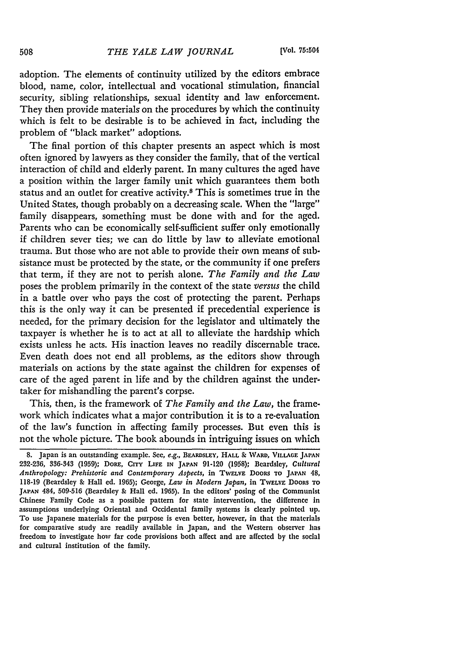adoption. The elements of continuity utilized by the editors embrace blood, name, color, intellectual and vocational stimulation, financial security, sibling relationships, sexual identity and law enforcement. They then provide materials on the procedures by which the continuity which is felt to be desirable is to be achieved in fact, including the problem of "black market" adoptions.

The final portion of this chapter presents an aspect which is most often ignored by lawyers as they consider the family, that of the vertical interaction of child and elderly parent. In many cultures the aged have a position within the larger family unit which guarantees them both status and an outlet for creative activity.<sup>8</sup> This is sometimes true in the United States, though probably on a decreasing scale. When the "large" family disappears, something must be done with and for the aged. Parents who can be economically self-sufficient suffer only emotionally if children sever ties; we can do little by law to alleviate emotional trauma. But those who are not able to provide their own means of subsistance must be protected by the state, or the community if one prefers that term, if they are not to perish alone. *The Family and the Law* poses the problem primarily in the context of the state *versus* the child in a battle over who pays the cost of protecting the parent. Perhaps this is the only way it can be presented if precedential experience is needed, for the primary decision for the legislator and ultimately the taxpayer is whether he is to act at all to alleviate the hardship which exists unless he acts. His inaction leaves no readily discernable trace. Even death does not end all problems, as the editors show through materials on actions by the state against the children for expenses of care of the aged parent in life and by the children against the undertaker for mishandling the parent's corpse.

This, then, is the framework of *The Family and the Law,* the framework which indicates what a major contribution it is to a re-evaluation of the law's function in affecting family processes. But even this is not the whole picture. The book abounds in intriguing issues on which

<sup>8.</sup> Japan is an outstanding example. See, *e.g.*, BEARDSLEY, HALL & WARD, VILLAGE JAPAN **232-236, 336-343 (1959);** DORE, CITY LIFE **IN JAPAN 91-120 (1958):** Beardsley, *Cultural* Anthropology: Prehistoric and Contemporary Aspects, in TWELVE DOORS TO JAPAN 48, 118-19 (Beardsley & Hall **ed.** 1965); George, *Law in Modern Japan,* in TwELvE DooRS TO **JAPAN** 484, **509-516** (Beardsley **&** Hall **ed.** 1965). In the editors' posing of the Communist Chinese Family Code as a possible pattern for state intervention, the difference in assumptions underlying Oriental and Occidental family systems is clearly pointed up. To use Japanese materials for the purpose is even better, however, in that the materials for comparative study are readily available in Japan, and the Western observer has freedom to investigate how far code provisions both affect and are affected by the social and cultural institution of the family.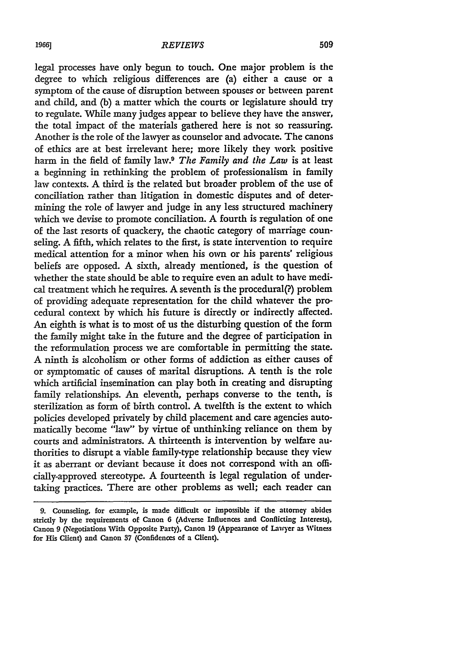## *REVIEWS*

legal processes have only begun to touch. One major problem is the degree to which religious differences are (a) either a cause or a symptom of the cause of disruption between spouses or between parent and child, and (b) a matter which the courts or legislature should try to regulate. While many judges appear to believe they have the answer, the total impact of the materials gathered here is not so reassuring. Another is the role of the lawyer as counselor and advocate. The canons of ethics are at best irrelevant here; more likely they work positive harm in the field of family law.9 *The Family and the Law* is at least a beginning in rethinking the problem of professionalism in family law contexts. A third is the related but broader problem of the use of conciliation rather than litigation in domestic disputes and of determining the role of lawyer and judge in any less structured machinery which we devise to promote conciliation. A fourth is regulation of one of the last resorts of quackery, the chaotic category of marriage counseling. **A** fifth, which relates to the first, is state intervention to require medical attention for a minor when his own or his parents' religious beliefs are opposed. A sixth, already mentioned, is the question of whether the state should be able to require even an adult to have medical treatment which he requires. A seventh is the procedural $(?)$  problem of providing adequate representation for the child whatever the procedural context by which his future is directly or indirectly affected. An eighth is what is to most of us the disturbing question of the form the family might take in the future and the degree of participation in the reformulation process we are comfortable in permitting the state. A ninth is alcoholism or other forms of addiction as either causes of or symptomatic of causes of marital disruptions. **A** tenth is the role which artificial insemination can play both in creating and disrupting family relationships. An eleventh, perhaps converse to the tenth, is sterilization as form of birth control. **A** twelfth is the extent to which policies developed privately by child placement and care agencies automatically become "law" by virtue of unthinking reliance on them by courts and administrators. A thirteenth is intervention by welfare authorities to disrupt a viable family-type relationship because they view it as aberrant or deviant because it does not correspond with an officially-approved stereotype. A fourteenth is legal regulation of undertaking practices. There are other problems as well; each reader can

**1966']**

**<sup>9.</sup>** Counseling, for example, is made difficult or impossible if the attorney abides strictly **by** the requirements of Canon **6** (Adverse Influences and Conflicting Interests). Canon **9** (Negotiations With Opposite Party), Canon **19** (Appearance of Lawyer as Witness for His Client) and Canon 37 (Confidences of a Client).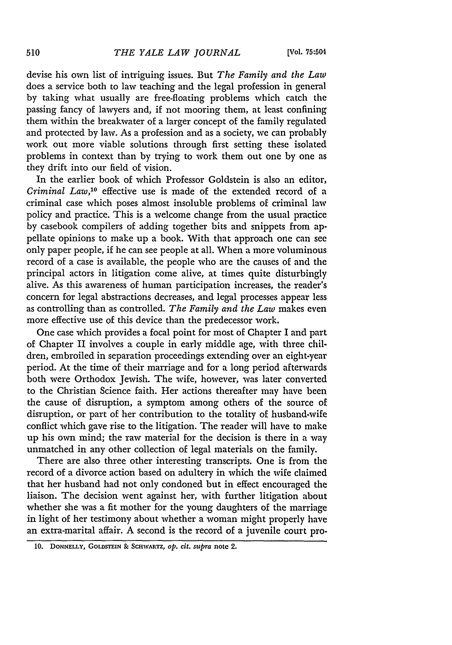devise his own list of intriguing issues. But *The Family and the Law* does a service both to law teaching and the legal profession in general by taking what usually are free-floating problems which catch the passing fancy of lawyers and, if not mooring them, at least confining them within the breakwater of a larger concept of the family regulated and protected by law. As a profession and as a society, we can probably work out more viable solutions through first setting these isolated problems in context than by trying to work them out one by one as they drift into our field of vision.

In the earlier book of which Professor Goldstein is also an editor, *Criminal Law,10* effective use is made of the extended record of a criminal case which poses almost insoluble problems of criminal law policy and practice. This is a welcome change from the usual practice by casebook compilers of adding together bits and snippets from appellate opinions to make up a book. With that approach one can see only paper people, if he can see people at all. When a more voluminous record of a case is available, the people who are the causes of and the principal actors in litigation come alive, at times quite disturbingly alive. As this awareness of human participation increases, the reader's concern for legal abstractions decreases, and legal processes appear less as controlling than as controlled. *The Family and the Law* makes even more effective use of this device than the predecessor work.

One case which provides a focal point for most of Chapter I and part of Chapter II involves a couple in early middle age, with three children, embroiled in separation proceedings extending over an eight-year period. At the time of their marriage and for a long period afterwards both were Orthodox Jewish. The wife, however, was later converted to the Christian Science faith. Her actions thereafter may have been the cause of disruption, a symptom among others of the source of disruption, or part of her contribution to the totality of husband-wife conflict which gave rise to the litigation. The reader will have to make up his own mind; the raw material for the decision is there in a way unmatched in any other collection of legal materials on the family.

There are also three other interesting transcripts. One is from the record of a divorce action based on adultery in which the wife claimed that her husband had not only condoned but in effect encouraged the liaison. The decision went against her, with further litigation about whether she was a fit mother for the young daughters of the marriage in light of her testimony about whether a woman might properly have an extra-marital affair. A second is the record of a juvenile court pro-

**<sup>10.</sup> DONNELLY, GOLDSTEIN &** SCHWARTZ, *op. cit. supra* note 2.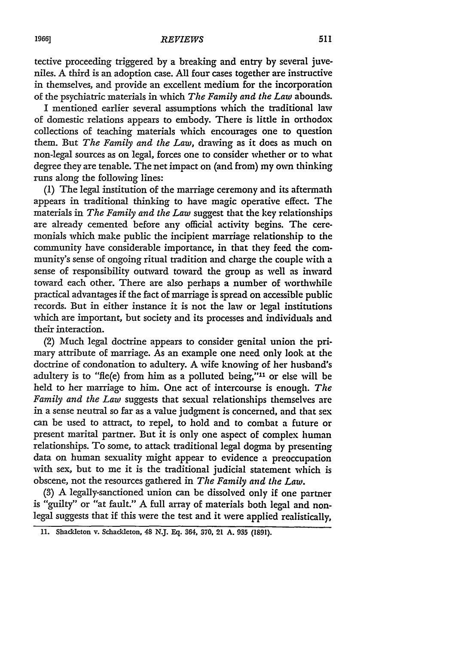tective proceeding triggered by a breaking and entry by several juveniles. **A** third is an adoption case. **All** four cases together are instructive in themselves, and provide an excellent medium for the incorporation of the psychiatric materials in which *The Family and the Law* abounds.

I mentioned earlier several assumptions which the traditional law of domestic relations appears to embody. There is little in orthodox collections of teaching materials which encourages one to question them. But *The Family and the Law,* drawing as it does as much on non-legal sources as on legal, forces one to consider whether or to what degree they are tenable. The net impact on (and from) my own thinking runs along the following lines:

(1) The legal institution of the marriage ceremony and its aftermath appears in traditional thinking to have magic operative effect. The materials in *The Family and the Law* suggest that the key relationships are already cemented before any official activity begins. The ceremonials which make public the incipient marriage relationship to the community have considerable importance, in that they feed the community's sense of ongoing ritual tradition and charge the couple with a sense of responsibility outvard toward the group as well as inward toward each other. There are also perhaps a number of worthwhile practical advantages if the fact of marriage is spread on accessible public records. But in either instance it is not the law or legal institutions which are important, but society and its processes and individuals and their interaction.

(2) Much legal doctrine appears to consider genital union the primary attribute of marriage. As an example one need only look at the doctrine of condonation to adultery. **A** wife knowing of her husband's adultery is to "fle(e) from him as a polluted being," $11$  or else will be held to her marriage to him. One act of intercourse is enough. *The Family and the Law* suggests that sexual relationships themselves are in a sense neutral so far as a value judgment is concerned, and that sex can be used to attract, to repel, to hold and to combat a future or present marital partner. But it is only one aspect of complex human relationships. To some, to attack traditional legal dogma by presenting data on human sexuality might appear to evidence a preoccupation with sex, but to me it is the traditional judicial statement which is obscene, not the resources gathered in *The Family and the Law.*

(3) A legally-sanctioned union can be dissolved only if one partner is "guilty" or "at fault." A full array of materials both legal and nonlegal suggests that if this were the test and it were applied realistically,

**<sup>11.</sup>** Shadcleton v. Schackleton, 48 **N.J. Eq.** 364, **370,** 21 **A. 935 (1891).**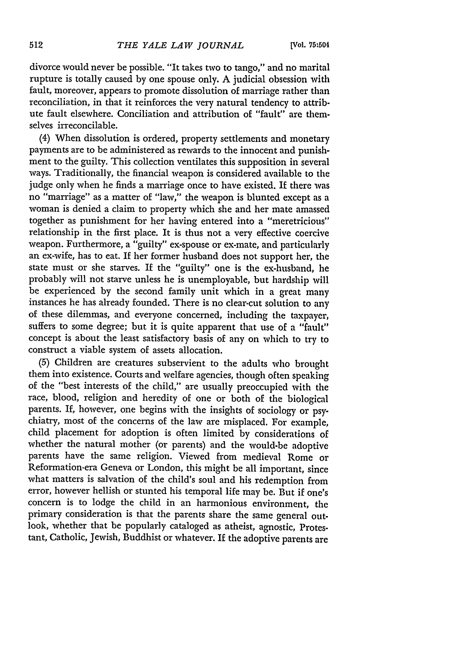divorce would never be possible. "It takes two to tango," and no marital rupture is totally caused by one spouse only. A judicial obsession with fault, moreover, appears to promote dissolution of marriage rather than reconciliation, in that it reinforces the very natural tendency to attribute fault elsewhere. Conciliation and attribution of "fault" are themselves irreconcilable.

(4) When dissolution is ordered, property settlements and monetary payments are to be administered as rewards to the innocent and punishment to the guilty. This collection ventilates this supposition in several ways. Traditionally, the financial weapon is considered available to the judge only when he finds a marriage once to have existed. If there was no "marriage" as a matter of "law," the weapon is blunted except as a woman is denied a claim to property which she and her mate amassed together as punishment for her having entered into a "meretricious" relationship in the first place. It is thus not a very effective coercive weapon. Furthermore, a "guilty" ex-spouse or ex-mate, and particularly an ex-wife, has to eat. If her former husband does not support her, the state must or she starves. If the "guilty" one is the ex-husband, he probably will not starve unless he is unemployable, but hardship will be experienced by the second family unit which in a great many instances he has already founded. There is no clear-cut solution to any of these dilemmas, and everyone concerned, including the taxpayer, suffers to some degree; but it is quite apparent that use of a "fault" concept is about the least satisfactory basis of any on which to try to construct a viable system of assets allocation.

(5) Children are creatures subservient to the adults who brought them into existence. Courts and welfare agencies, though often speaking of the "best interests of the child," are usually preoccupied with the race, blood, religion and heredity of one or both of the biological parents. If, however, one begins with the insights of sociology or psychiatry, most of the concerns of the law are misplaced. For example, child placement for adoption is often limited by considerations of whether the natural mother (or parents) and the would-be adoptive parents have the same religion. Viewed from medieval Rome or Reformation-era Geneva or London, this might be all important, since what matters is salvation of the child's soul and his redemption from error, however hellish or stunted his temporal life may be. But if one's concern is to lodge the child in an harmonious environment, the primary consideration is that the parents share the same general outlook, whether that be popularly cataloged as atheist, agnostic, Protestant, Catholic, Jewish, Buddhist or whatever. If the adoptive parents are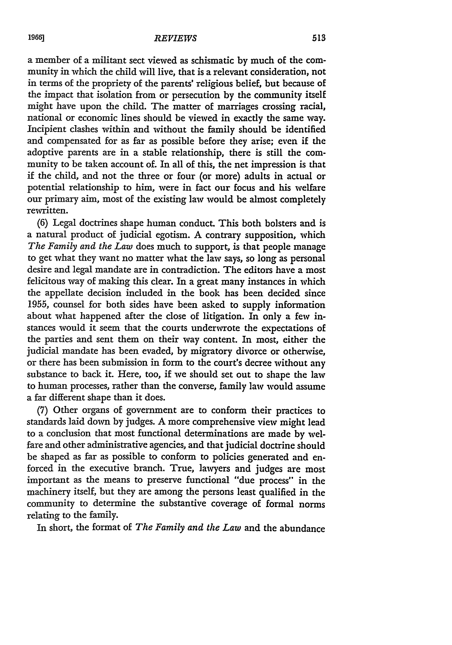a member of a militant sect viewed as schismatic by much of the community in which the child will live, that is a relevant consideration, not in terms of the propriety of the parents' religious belief, but because of the impact that isolation from or persecution by the community itself might have upon the child. The matter of marriages crossing racial, national or economic lines should be viewed in exactly the same way. Incipient clashes within and without the family should be identified and compensated for as far as possible before they arise; even if the adoptive parents are in a stable relationship, there is still the community to be taken account of. In all of this, the net impression is that if the child, and not the three or four (or more) adults in actual or potential relationship to him, were in fact our focus and his welfare our primary aim, most of the existing law would be almost completely rewritten.

(6) Legal doctrines shape human conduct. This both bolsters and is a natural product of judicial egotism. A contrary supposition, which *The Family and the Law* does much to support, is that people manage to get what they want no matter what the law says, so long as personal desire and legal mandate are in contradiction. The editors have a most felicitous way of making this clear. In a great many instances in which the appellate decision included in the book has been decided since 1955, counsel for both sides have been asked to supply information about what happened after the *close* of litigation. In only a few instances would it seem that the courts underwrote the expectations of the parties and sent them on their way content. In most, either the judicial mandate has been evaded, by migratory divorce or otherwise, or there has been submission in form to the court's decree without any substance to back it. Here, too, if we should set out to shape the law to human processes, rather than the converse, family law would assume a far different shape than it does.

(7) Other organs of government are to conform their practices to standards laid down by judges. A more comprehensive view might lead to a conclusion that most functional determinations are made by welfare and other administrative agencies, and that judicial doctrine should be shaped as far as possible to conform to policies generated and enforced in the executive branch. True, lawyers and judges are most important as the means to preserve functional "due process" in the machinery itself, but they are among the persons least qualified in the community to determine the substantive coverage of formal norms relating to the family.

In short, the format of *The Family and the Law* and the abundance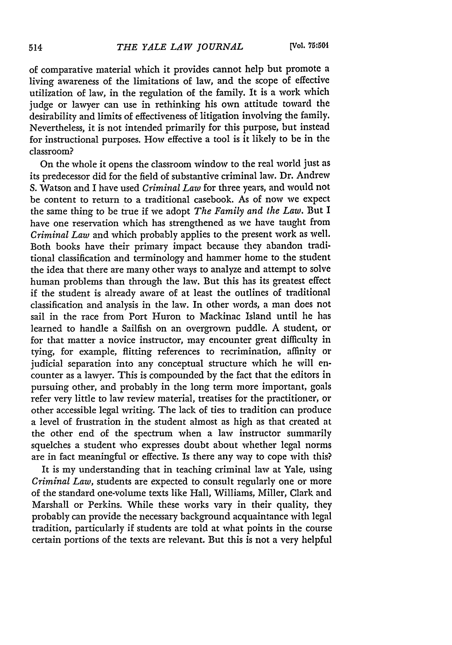of comparative material which it provides cannot help but promote a living awareness of the limitations of law, and the scope of effective utilization of law, in the regulation of the family. It is a work which judge or lawyer can use in rethinking his own attitude toward the desirability and limits of effectiveness of litigation involving the family. Nevertheless, it is not intended primarily for this purpose, but instead for instructional purposes. How effective a tool is it likely to be in the classroom?

On the whole it opens the classroom window to the real world just as its predecessor did for the field of substantive criminal law. Dr. Andrew S. Watson and I have used *Criminal Law* for three years, and would not be content to return to a traditional casebook. As of now we expect the same thing to be true if we adopt *The Family and the Law.* But I have one reservation which has strengthened as we have taught from *Criminal Law* and which probably applies to the present work as well. Both books have their primary impact because they abandon traditional classification and terminology and hammer home to the student the idea that there are many other ways to analyze and attempt to solve human problems than through the law. But this has its greatest effect if the student is already aware of at least the outlines of traditional classification and analysis in the law. In other words, a man does not sail in the race from Port Huron to Mackinac Island until he has learned to handle a Sailfish on an overgrown puddle. A student, or for that matter a novice instructor, may encounter great difficulty in tying, for example, flitting references to recrimination, affinity or judicial separation into any conceptual structure which he will encounter as a lawyer. This is compounded by the fact that the editors in pursuing other, and probably in the long term more important, goals refer very little to law review material, treatises for the practitioner, or other accessible legal writing. The lack of ties to tradition can produce a level of frustration in the student almost as high as that created at the other end of the spectrum when a law instructor summarily squelches a student who expresses doubt about whether legal norms are in fact meaningful or effective. Is there any way to cope with this?

It is my understanding that in teaching criminal law at Yale, using *Criminal Law,* students are expected to consult regularly one or more of the standard one-volume texts like Hall, Williams, Miller, Clark and Marshall or Perkins. While these works vary in their quality, they probably can provide the necessary background acquaintance with legal tradition, particularly if students are told at what points in the course certain portions of the texts are relevant. But this is not a very helpful